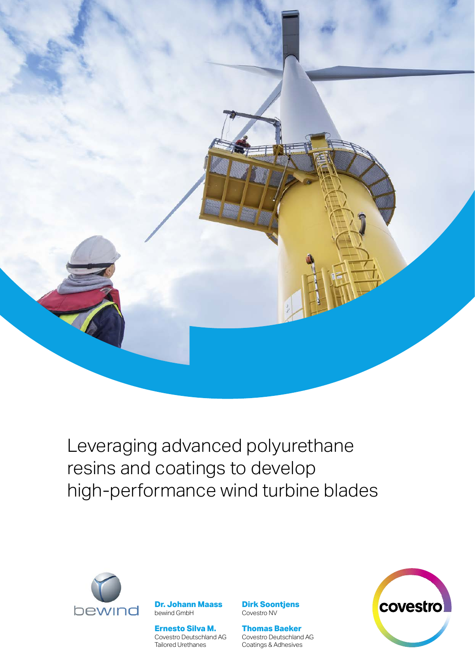

Leveraging advanced polyurethane resins and coatings to develop high-performance wind turbine blades



**Dr. Johann Maass** bewind GmbH

**Ernesto Silva M.** Covestro Deutschland AG Tailored Urethanes

**Dirk Soontjens** Covestro NV

**Thomas Baeker** Covestro Deutschland AG Coatings & Adhesives

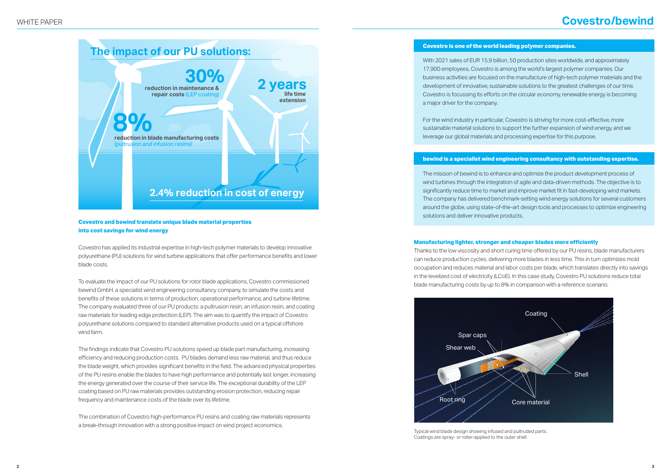## **Covestro is one of the world leading polymer companies.**

With 2021 sales of EUR 15.9 billion, 50 production sites worldwide, and approximately 17,900 employees, Covestro is among the world's largest polymer companies. Our business activities are focused on the manufacture of high-tech polymer materials and the development of innovative, sustainable solutions to the greatest challenges of our time. Covestro is focussing its efforts on the circular economy, renewable energy is becoming a major driver for the company.

For the wind industry in particular, Covestro is striving for more cost-effective, more sustainable material solutions to support the further expansion of wind energy, and we leverage our global materials and processing expertise for this purpose.

# **bewind is a specialist wind engineering consultancy with outstanding expertise.**

The mission of bewind is to enhance and optimize the product development process of wind turbines through the integration of agile and data-driven methods. The objective is to significantly reduce time to market and improve market fit in fast-developing wind markets. The company has delivered benchmark-setting wind energy solutions for several customers around the globe, using state-of-the-art design tools and processes to optimize engineering solutions and deliver innovative products.

# **Covestro/bewind**

# **Manufacturing lighter, stronger and cheaper blades more efficiently**

Thanks to the low viscosity and short curing time offered by our PU resins, blade manufacturers can reduce production cycles, delivering more blades in less time. This in turn optimizes mold occupation and reduces material and labor costs per blade, which translates directly into savings in the levelized cost of electricity (LCoE). In this case study, Covestro PU solutions reduce total blade manufacturing costs by up to 8% in comparison with a reference scenario.

## **Covestro and bewind translate unique blade material properties into cost savings for wind energy**

Covestro has applied its industrial expertise in high-tech polymer materials to develop innovative polyurethane (PU) solutions for wind turbine applications that offer performance benefits and lower blade costs.

To evaluate the impact of our PU solutions for rotor blade applications, Covestro commissioned bewind GmbH, a specialist wind engineering consultancy company, to simulate the costs and benefits of these solutions in terms of production, operational performance, and turbine lifetime. The company evaluated three of our PU products: a pultrusion resin, an infusion resin, and coating raw materials for leading edge protection (LEP). The aim was to quantify the impact of Covestro polyurethane solutions compared to standard alternative products used on a typical offshore wind farm.

The findings indicate that Covestro PU solutions speed up blade part manufacturing, increasing efficiency and reducing production costs. PU blades demand less raw material, and thus reduce the blade weight, which provides significant benefits in the field. The advanced physical properties of the PU resins enable the blades to have high performance and potentially last longer, increasing the energy generated over the course of their service life. The exceptional durability of the LEP coating based on PU raw materials provides outstanding erosion protection, reducing repair frequency and maintenance costs of the blade over its lifetime.

The combination of Covestro high-performance PU resins and coating raw materials represents a break-through innovation with a strong positive impact on wind project economics.



Typical wind blade design showing infused and pultruded parts. Coatings are spray- or roller-applied to the outer shell.

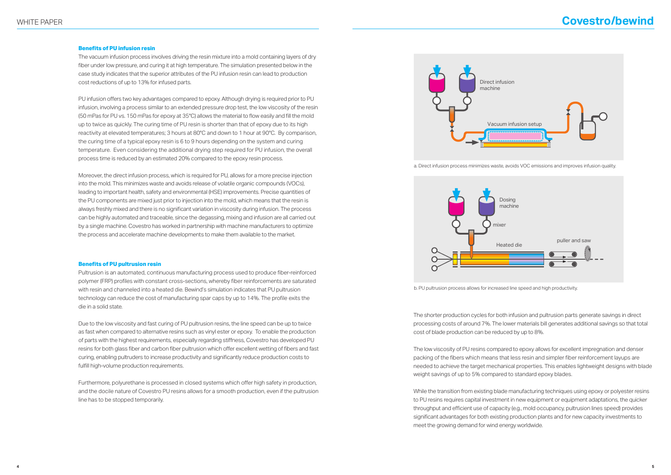# WHITE PAPER **Covestro/bewind**

### **Benefits of PU infusion resin**

The vacuum infusion process involves driving the resin mixture into a mold containing layers of dry fiber under low pressure, and curing it at high temperature. The simulation presented below in the case study indicates that the superior attributes of the PU infusion resin can lead to production cost reductions of up to 13% for infused parts.

PU infusion offers two key advantages compared to epoxy. Although drying is required prior to PU infusion, involving a process similar to an extended pressure drop test, the low viscosity of the resin (50 mPas for PU vs. 150 mPas for epoxy at 35°C) allows the material to flow easily and fill the mold up to twice as quickly. The curing time of PU resin is shorter than that of epoxy due to its high reactivity at elevated temperatures; 3 hours at 80°C and down to 1 hour at 90°C. By comparison, the curing time of a typical epoxy resin is 6 to 9 hours depending on the system and curing temperature. Even considering the additional drying step required for PU infusion, the overall process time is reduced by an estimated 20% compared to the epoxy resin process.

Moreover, the direct infusion process, which is required for PU, allows for a more precise injection into the mold. This minimizes waste and avoids release of volatile organic compounds (VOCs), leading to important health, safety and environmental (HSE) improvements. Precise quantities of the PU components are mixed just prior to injection into the mold, which means that the resin is always freshly mixed and there is no significant variation in viscosity during infusion. The process can be highly automated and traceable, since the degassing, mixing and infusion are all carried out by a single machine. Covestro has worked in partnership with machine manufacturers to optimize the process and accelerate machine developments to make them available to the market.

### **Benefits of PU pultrusion resin**

Pultrusion is an automated, continuous manufacturing process used to produce fiber-reinforced polymer (FRP) profiles with constant cross-sections, whereby fiber reinforcements are saturated with resin and channeled into a heated die. Bewind's simulation indicates that PU pultrusion technology can reduce the cost of manufacturing spar caps by up to 14%. The profile exits the die in a solid state.

Due to the low viscosity and fast curing of PU pultrusion resins, the line speed can be up to twice as fast when compared to alternative resins such as vinyl ester or epoxy. To enable the production of parts with the highest requirements, especially regarding stiffness, Covestro has developed PU resins for both glass fiber and carbon fiber pultrusion which offer excellent wetting of fibers and fast curing, enabling pultruders to increase productivity and significantly reduce production costs to fulfill high-volume production requirements.

Furthermore, polyurethane is processed in closed systems which offer high safety in production, and the docile nature of Covestro PU resins allows for a smooth production, even if the pultrusion line has to be stopped temporarily.

b. PU pultrusion process allows for increased line speed and high productivity.





The shorter production cycles for both infusion and pultrusion parts generate savings in direct processing costs of around 7%. The lower materials bill generates additional savings so that total cost of blade production can be reduced by up to 8%.

The low viscosity of PU resins compared to epoxy allows for excellent impregnation and denser packing of the fibers which means that less resin and simpler fiber reinforcement layups are needed to achieve the target mechanical properties. This enables lightweight designs with blade weight savings of up to 5% compared to standard epoxy blades.

While the transition from existing blade manufacturing techniques using epoxy or polyester resins to PU resins requires capital investment in new equipment or equipment adaptations, the quicker throughput and efficient use of capacity (e.g., mold occupancy, pultrusion lines speed) provides significant advantages for both existing production plants and for new capacity investments to meet the growing demand for wind energy worldwide.

a. Direct infusion process minimizes waste, avoids VOC emissions and improves infusion quality.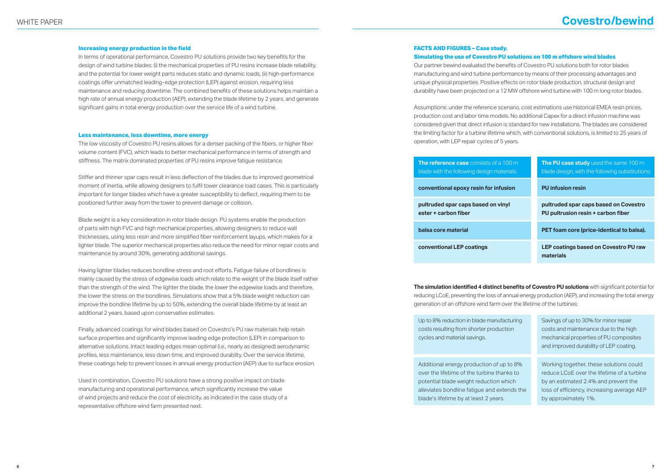# WHITE PAPER **Covestro/bewind**

### **Increasing energy production in the field**

In terms of operational performance, Covestro PU solutions provide two key benefits for the design of wind turbine blades: (i) the mechanical properties of PU resins increase blade reliability, and the potential for lower weight parts reduces static and dynamic loads, (ii) high-performance coatings offer unmatched leading-edge protection (LEP) against erosion, requiring less maintenance and reducing downtime. The combined benefits of these solutions helps maintain a high rate of annual energy production (AEP), extending the blade lifetime by 2 years, and generate significant gains in total energy production over the service life of a wind turbine.

### **Less maintenance, less downtime, more energy**

The low viscosity of Covestro PU resins allows for a denser packing of the fibers, or higher fiber volume content (FVC), which leads to better mechanical performance in terms of strength and stiffness. The matrix dominated properties of PU resins improve fatigue resistance.

Stiffer and thinner spar caps result in less deflection of the blades due to improved geometrical moment of inertia, while allowing designers to fulfil tower clearance load cases. This is particularly important for longer blades which have a greater susceptibility to deflect, requiring them to be positioned further away from the tower to prevent damage or collision.

Blade weight is a key consideration in rotor blade design. PU systems enable the production of parts with high FVC and high mechanical properties, allowing designers to reduce wall thicknesses, using less resin and more simplified fiber reinforcement layups, which makes for a lighter blade. The superior mechanical properties also reduce the need for minor repair costs and maintenance by around 30%, generating additional savings.

Having lighter blades reduces bondline stress and root efforts. Fatigue failure of bondlines is mainly caused by the stress of edgewise loads which relate to the weight of the blade itself rather than the strength of the wind. The lighter the blade, the lower the edgewise loads and therefore, the lower the stress on the bondlines. Simulations show that a 5% blade weight reduction can improve the bondline lifetime by up to 50%, extending the overall blade lifetime by at least an additional 2 years, based upon conservative estimates.

pultruded spar caps based on viny **ester + carbon fiber** 

Finally, advanced coatings for wind blades based on Covestro's PU raw materials help retain surface properties and significantly improve leading edge protection (LEP) in comparison to alternative solutions. Intact leading edges mean optimal (i.e., nearly as designed) aerodynamic profiles, less maintenance, less down time, and improved durabilty. Over the service lifetime, these coatings help to prevent losses in annual energy production (AEP) due to surface erosion. Up to 8% reduction in blade manufacturing costs resulting from shorter product cycles and material savings.

Additional energy production of up over the lifetime of the turbine than potential blade weight reduction w alleviates bondline fatigue and exte blade's lifetime by at least 2 years.

Used in combination, Covestro PU solutions have a strong positive impact on blade manufacturing and operational performance, which significantly increase the value of wind projects and reduce the cost of electricity, as indicated in the case study of a representative offshore wind farm presented next.

# **FACTS AND FIGURES – Case study. Simulating the use of Covestro PU solutions on 100 m offshore wind blades**

Our partner bewind evaluated the benefits of Covestro PU solutions both for rotor blades manufacturing and wind turbine performance by means of their processing advantages and unique physical properties. Positive effects on rotor blade production, structural design and durability have been projected on a 12 MW offshore wind turbine with 100 m long rotor blades.

Assumptions: under the reference scenario, cost estimations use historical EMEA resin prices, production cost and labor time models. No additional Capex for a direct infusion machine was considered given that direct infusion is standard for new installations. The blades are considered the limiting factor for a turbine lifetime which, with conventional solutions, is limited to 25 years of operation, with LEP repair cycles of 5 years.

# **The reference case** consists of a 1 blade with the following design mat

conventional epoxy resin for infus

**The simulation identified 4 distinct benefits of Covestro PU solutions** with significant potential for reducing LCoE, preventing the loss of annual energy production (AEP), and increasing the total energy generation of an offshore wind farm over the lifetime of the turbines:

**balsa core material**

**conventional LEP coatings**

| <u>ነ0 m</u><br>rials: | <b>The PU case study</b> used the same 100 m<br>blade design, with the following substitutions: |
|-----------------------|-------------------------------------------------------------------------------------------------|
| ion                   | <b>PU</b> infusion resin                                                                        |
|                       | pultruded spar caps based on Covestro<br>PU pultrusion resin + carbon fiber                     |
|                       | PET foam core (price-identical to balsa).                                                       |
|                       | LEP coatings based on Covestro PU raw<br>materials                                              |

| cturing | Savings of up to 30% for minor repair      |
|---------|--------------------------------------------|
| ion     | costs and maintenance due to the high      |
|         | mechanical properties of PU composites     |
|         | and improved durability of LEP coating.    |
|         |                                            |
| to 8%   | Working together, these solutions could    |
| ks to   | reduce LCoE over the lifetime of a turbine |
| าich    | by an estimated 2.4% and prevent the       |
| nds the | loss of efficiency, increasing average AEP |
|         |                                            |
|         | by approximately 1%.                       |